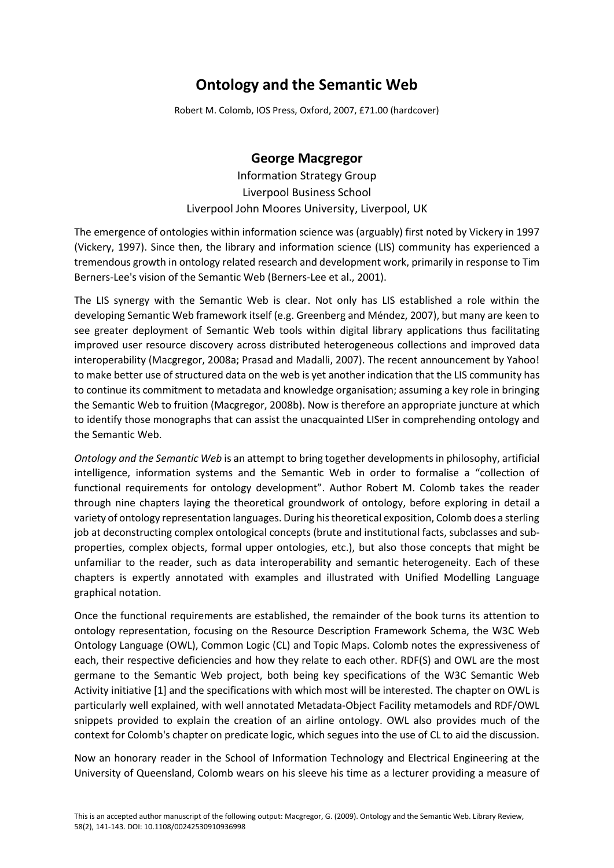## **Ontology and the Semantic Web**

Robert M. Colomb, IOS Press, Oxford, 2007, £71.00 (hardcover)

## **George Macgregor**

Information Strategy Group Liverpool Business School Liverpool John Moores University, Liverpool, UK

The emergence of ontologies within information science was (arguably) first noted by Vickery in 1997 (Vickery, 1997). Since then, the library and information science (LIS) community has experienced a tremendous growth in ontology related research and development work, primarily in response to Tim Berners‐Lee's vision of the Semantic Web (Berners‐Lee et al., 2001).

The LIS synergy with the Semantic Web is clear. Not only has LIS established a role within the developing Semantic Web framework itself (e.g. Greenberg and Méndez, 2007), but many are keen to see greater deployment of Semantic Web tools within digital library applications thus facilitating improved user resource discovery across distributed heterogeneous collections and improved data interoperability (Macgregor, 2008a; Prasad and Madalli, 2007). The recent announcement by Yahoo! to make better use of structured data on the web is yet another indication that the LIS community has to continue its commitment to metadata and knowledge organisation; assuming a key role in bringing the Semantic Web to fruition (Macgregor, 2008b). Now is therefore an appropriate juncture at which to identify those monographs that can assist the unacquainted LISer in comprehending ontology and the Semantic Web.

*Ontology and the Semantic Web* is an attempt to bring together developments in philosophy, artificial intelligence, information systems and the Semantic Web in order to formalise a "collection of functional requirements for ontology development". Author Robert M. Colomb takes the reader through nine chapters laying the theoretical groundwork of ontology, before exploring in detail a variety of ontology representation languages. During his theoretical exposition, Colomb does a sterling job at deconstructing complex ontological concepts (brute and institutional facts, subclasses and subproperties, complex objects, formal upper ontologies, etc.), but also those concepts that might be unfamiliar to the reader, such as data interoperability and semantic heterogeneity. Each of these chapters is expertly annotated with examples and illustrated with Unified Modelling Language graphical notation.

Once the functional requirements are established, the remainder of the book turns its attention to ontology representation, focusing on the Resource Description Framework Schema, the W3C Web Ontology Language (OWL), Common Logic (CL) and Topic Maps. Colomb notes the expressiveness of each, their respective deficiencies and how they relate to each other. RDF(S) and OWL are the most germane to the Semantic Web project, both being key specifications of the W3C Semantic Web Activity initiative [1] and the specifications with which most will be interested. The chapter on OWL is particularly well explained, with well annotated Metadata‐Object Facility metamodels and RDF/OWL snippets provided to explain the creation of an airline ontology. OWL also provides much of the context for Colomb's chapter on predicate logic, which segues into the use of CL to aid the discussion.

Now an honorary reader in the School of Information Technology and Electrical Engineering at the University of Queensland, Colomb wears on his sleeve his time as a lecturer providing a measure of